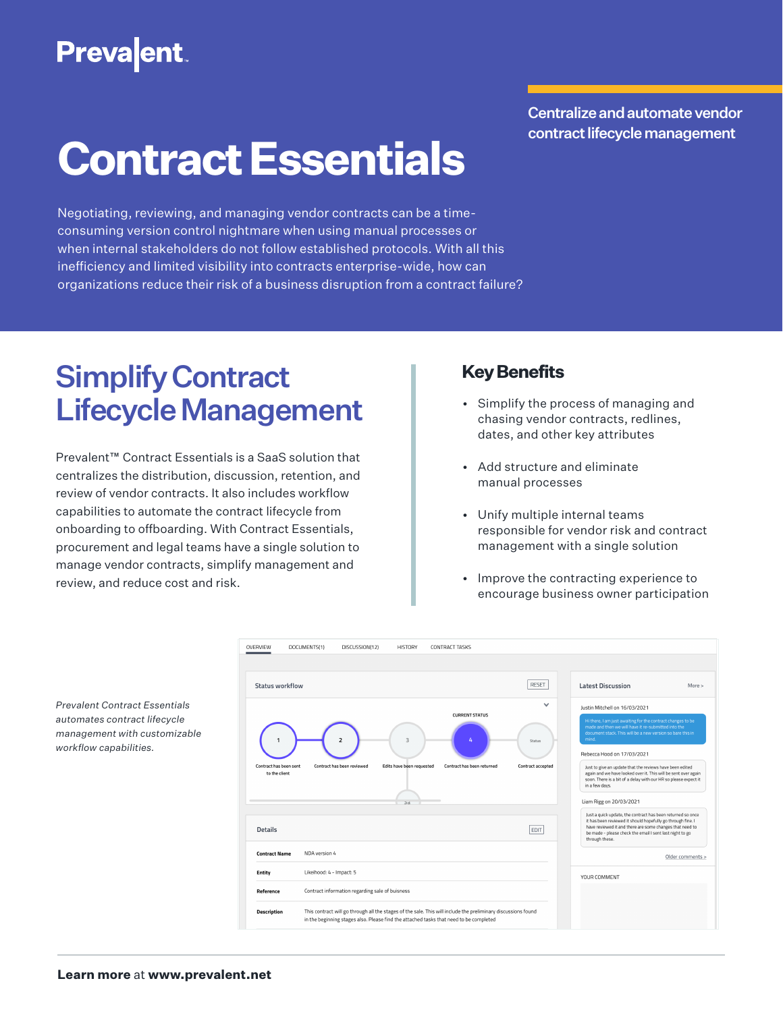# **Prevalent**

Centralize and automate vendor contract lifecycle management

# **Contract Essentials**

Negotiating, reviewing, and managing vendor contracts can be a timeconsuming version control nightmare when using manual processes or when internal stakeholders do not follow established protocols. With all this inefficiency and limited visibility into contracts enterprise-wide, how can organizations reduce their risk of a business disruption from a contract failure?

## Simplify Contract Lifecycle Management

Prevalent™ Contract Essentials is a SaaS solution that centralizes the distribution, discussion, retention, and review of vendor contracts. It also includes workflow capabilities to automate the contract lifecycle from onboarding to offboarding. With Contract Essentials, procurement and legal teams have a single solution to manage vendor contracts, simplify management and review, and reduce cost and risk.

### **Key Benefits**

- Simplify the process of managing and chasing vendor contracts, redlines, dates, and other key attributes
- Add structure and eliminate manual processes
- Unify multiple internal teams responsible for vendor risk and contract management with a single solution
- Improve the contracting experience to encourage business owner participation

| Status workflow                         |                            |                           |                            | <b>RESET</b>      | <b>Latest Discussion</b><br>More >                                                                                                                                                                                                                                   |
|-----------------------------------------|----------------------------|---------------------------|----------------------------|-------------------|----------------------------------------------------------------------------------------------------------------------------------------------------------------------------------------------------------------------------------------------------------------------|
|                                         |                            |                           |                            |                   |                                                                                                                                                                                                                                                                      |
|                                         |                            |                           | <b>CURRENT STATUS</b>      | $\checkmark$      | Justin Mitchell on 16/03/2021                                                                                                                                                                                                                                        |
|                                         |                            | 3                         | 4                          | Status            | Hi there, I am just awaiting for the contract changes to be<br>made and then we will have it re-submitted into the<br>document stack. This will be a new version so bare this in<br>mind.                                                                            |
|                                         |                            |                           |                            |                   | Rebecca Hood on 17/03/2021                                                                                                                                                                                                                                           |
| Contract has been sent<br>to the client | Contract has been reviewed | Edits have been requested | Contract has been returned | Contract accepted | Just to give an update that the reviews have been edited                                                                                                                                                                                                             |
|                                         |                            |                           |                            |                   | again and we have looked over it. This will be sent over again<br>soon. There is a bit of a delay with our HR so please expect it<br>in a few days.                                                                                                                  |
|                                         |                            | 2d                        |                            |                   | Liam Rigg on 20/03/2021                                                                                                                                                                                                                                              |
| <b>Details</b>                          |                            |                           |                            | EDIT              | Just a quick update, the contract has been returned so once<br>it has been reviewed it should hopefully go through fine. I<br>have reviewed it and there are some changes that need to<br>be made - please check the email I sent last night to go<br>through these. |
| <b>Contract Name</b>                    | NDA version 4              |                           |                            |                   | Older comments >                                                                                                                                                                                                                                                     |
| Entity                                  | Likeihood: 4 - Impact: 5   |                           |                            |                   | YOUR COMMENT                                                                                                                                                                                                                                                         |

*Prevalent Contract Essentials automates contract lifecycle management with customizable workflow capabilities.*